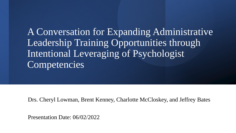A Conversation for Expanding Administrative Leadership Training Opportunities through Intentional Leveraging of Psychologist Competencies

Drs. Cheryl Lowman, Brent Kenney, Charlotte McCloskey, and Jeffrey Bates

Presentation Date: 06/02/2022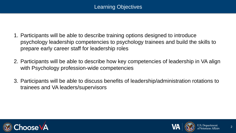- 1. Participants will be able to describe training options designed to introduce psychology leadership competencies to psychology trainees and build the skills to prepare early career staff for leadership roles
- 2. Participants will be able to describe how key competencies of leadership in VA align with Psychology profession-wide competencies
- 3. Participants will be able to discuss benefits of leadership/administration rotations to trainees and VA leaders/supervisors



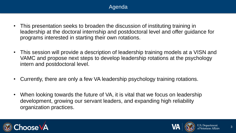# Agenda

- This presentation seeks to broaden the discussion of instituting training in leadership at the doctoral internship and postdoctoral level and offer guidance for programs interested in starting their own rotations.
- This session will provide a description of leadership training models at a VISN and VAMC and propose next steps to develop leadership rotations at the psychology intern and postdoctoral level.
- Currently, there are only a few VA leadership psychology training rotations.
- When looking towards the future of VA, it is vital that we focus on leadership development, growing our servant leaders, and expanding high reliability organization practices.



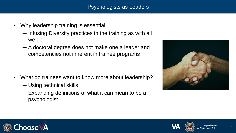# Psychologists as Leaders

- Why leadership training is essential
	- ─ Infusing Diversity practices in the training as with all we do
	- ─ A doctoral degree does not make one a leader and competencies not inherent in trainee programs

- What do trainees want to know more about leadership?
	- ─ Using technical skills
	- ─ Expanding definitions of what it can mean to be a psychologist





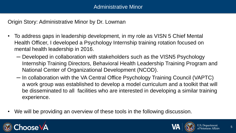Origin Story: Administrative Minor by Dr. Lowman

- To address gaps in leadership development, in my role as VISN 5 Chief Mental Health Officer, I developed a Psychology Internship training rotation focused on mental health leadership in 2016.
	- ─ Developed in collaboration with stakeholders such as the VISN5 Psychology Internship Training Directors, Behavioral Health Leadership Training Program and National Center of Organizational Development (NCOD).
	- ─ In collaboration with the VA Central Office Psychology Training Council (VAPTC) a work group was established to develop a model curriculum and a toolkit that will be disseminated to all facilities who are interested in developing a similar training experience.
- We will be providing an overview of these tools in the following discussion.



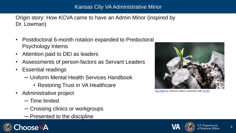# Kansas City VA Administrative Minor

Origin story: How KCVA came to have an Admin Minor (inspired by Dr. Lowman)

- Postdoctoral 6-month rotation expanded to Predoctoral Psychology Interns
- Attention paid to DEI as leaders
- Assessments of person-factors as Servant Leaders
- Essential readings
	- ─ Uniform Mental Health Services Handbook
		- Restoring Trust in VA Healthcare
- Administrative project
	- ─ Time limited
	- ─ Crossing clinics or workgroups
	- ─ Presented to the discipline





[This Photo](https://cplong.org/2008/12/the_duplicity_of_beginning/) by Unknown Author is licensed under [CC BY](https://creativecommons.org/licenses/by/3.0/)

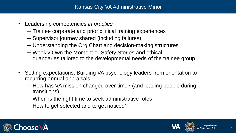- Leadership competencies *in practice*
	- ─ Trainee corporate and prior clinical training experiences
	- ─ Supervisor journey shared (including failures)
	- ─ Understanding the Org Chart and decision-making structures
	- ─ Weekly Own the Moment or Safety Stories and ethical quandaries tailored to the developmental needs of the trainee group
- Setting expectations: Building VA psychology leaders from orientation to recurring annual appraisals
	- ─ How has VA mission changed over time? (and leading people during transitions)
	- ─ When is the right time to seek administrative roles
	- ─ How to get selected and to get noticed?



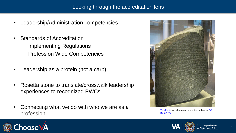- Leadership/Administration competencies
- Standards of Accreditation
	- ─ Implementing Regulations
	- ─ Profession Wide Competencies
- Leadership as a protein (not a carb)
- Rosetta stone to translate/crosswalk leadership experiences to recognized PWCs
- Connecting what we do with who we are as a profession



[This Photo](https://www.flickr.com/photos/calotype46/6683293633/) by Unknown Author is licensed under CC BY-SA-NC

![](_page_7_Picture_10.jpeg)

![](_page_7_Picture_12.jpeg)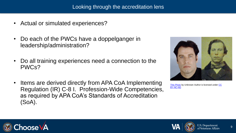- Actual or simulated experiences?
- Do each of the PWCs have a doppelganger in leadership/administration?
- Do all training experiences need a connection to the PWCs?
- Items are derived directly from APA CoA Implementing Regulation (IR) C-8 I. Profession-Wide Competencies, as required by APA CoA's Standards of Accreditation (SoA).

![](_page_8_Picture_5.jpeg)

[This Photo](http://naturalplane.blogspot.ca/2011/09/just-facts-celebrity-doppelgangers.html) [by Unknown Author is licensed under CC](https://creativecommons.org/licenses/by-nc-nd/3.0/) BY-NC-ND

![](_page_8_Picture_7.jpeg)

![](_page_8_Picture_8.jpeg)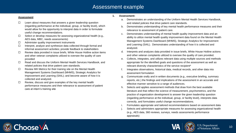## Assessment example

#### **Assessment**

- $\Box$  Learn about measures that answers a given leadership question (regarding performance at the individual, group, or facility level), which would allow for the opportunity to interpret data in order to formulate useful change recommendations.
- $\Box$  Select or develop measures for assessing organizational health (e.g., AES data, MBC, needs assessments)
- $\Box$  Administer quality improvement instruments
- $\Box$  Interpret, analyze and synthesize data collected through formal and informal assessment activities; provide feedback to stakeholders
- $\Box$  Review data provided in issue briefs, White House Hotline action items and other veteran complaints utilized to oversee the quality of care provided
- Read and discuss the Uniform Mental Health Services Handbook, and related policies that drive patient care standards.
- $\Box$  Review MH Metrics for their training site on the Mental Health Management Systems Dashboard (MHMS), Strategic Analytics for Improvement and Learning (SAIL); and become aware of how it is collected and analyzed.
- $\Box$  Review, discuss and give examples of the key mental health performance measures and their relevance to assessment of patient care at intern's training site
- **1. Assessment:**
	- a. Demonstrates an understanding of the Uniform Mental Health Services Handbook, and related policies that drive patient care standards.
	- b. Demonstrates understanding of key mental health performance measures and their relevance to assessment of patient care.
	- c. Demonstrates understanding of mental health quality improvement data and an ability to utilize mental health quality improvement data found on the Mental Health Management Systems Dashboard (MHMS), Strategic Analytics for Improvement and Learning (SAIL). Demonstrates understanding of how it is collected and analyzed.
	- d. Interprets and analyzes data provided in issue briefs, White House Hotline actions and other veteran complaints utilized to oversee the quality of care provided.
	- e. Collects, integrates, and utilizes relevant data using multiple sources and methods appropriate for the identified goals and questions of the assessment as well as relevant diversity characteristics of the service recipient\*
	- f. Integrates observations, historical data, medical records, and other data into assessment formulation
	- g. Communicate orally and in written documents (e.g., executive briefing, summary reports, etc.) the findings and implications of the assessment in an accurate and effective manner sensitive to a range of audiences.
	- h. Selects and applies assessment methods that draw from the best available literature and that reflect the science of measurement, psychometrics, and the practice of organization development to answer the given leadership question (regarding performance at the individual, group, or facility level), interprets data correctly, and formulates useful change recommendations.
	- i. Formulates appropriate and tailored recommendations based on assessment data
	- Selects and administers appropriate measures for assessing organizational health (e.g., AES data, 360 reviews, surveys, needs assessments performance appraisals)

![](_page_9_Picture_21.jpeg)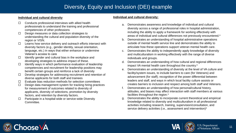# Diversity, Equity and Inclusion (DEI) example

#### **Individual and cultural diversity**

- $\Box$  Conducts professional interviews with allied health professionals to understand the training and professional competencies of other professions
- $\Box$  Design measures or data collection strategies to understanding the cultural and population diversity of the region or VISN.
- $\Box$  Learns how service delivery and outreach efforts intersect with diversity factors (e.g., gender identity, sexual orientation, language, etc.) in ways that either enhance or undermine Veteran's access to care
- $\Box$  Identify gender and cultural bias in the workplace and developing strategies to address impact of these.
- $\Box$  Identify ways in which performance evaluation of leadership competencies and recruitment for leadership positions may benefit certain groups and reinforce a lack of diversity
- $\Box$  Develop strategies for addressing recruitment and retention of diverse applicants for both staff and trainees
- $\Box$  Evaluate bias reduction methods for selection committees
- $\Box$  Design data management system for tracking hiring practices for measurement of outcomes related to diversity of applicants, diversity of selections, promotion by diversity factors, and retention by diversity factors.
- $\Box$  Participate in a hospital-wide or service-wide Diversity Committee.

#### **Individual and cultural diversity:**

- a. Demonstrates awareness and knowledge of individual and cultural diversity across a range of professional roles in hospital administration, including the ability to apply a framework for working effectively with areas of individual and cultural differences not previously encountered.\*
- b. Demonstrates an understanding of hospital administrative operations outside of mental health service line and demonstrates the ability to articulate how these operations support veteran mental health care.
- c. Demonstrates the ability to independently apply knowledge of diversity and multiculturalism in working effectively with the range of diverse individuals and groups.
- d. Demonstrates an understanding of how cultural and regional differences impact VA mental health care throughout the country.\*
- e. Demonstrates an understanding of diversity at the level of VA culture and facility/system issues, to include barriers to care (for Veterans) and advancement (for staff); recognition of the power differential between leaders and staff, and ways in which local facility culture assists or creates barriers to inclusion and respect among both staff and Veterans.
- Demonstrates an understanding of how personal/cultural history, attitudes, and biases may affect interaction with staff members at various facilities throughout the region.\*
- g. Demonstrates the ability to incorporate current theoretical and empirical knowledge related to diversity and multiculturalism in all professional activities including research, training, supervision/consultation, and service delivery activities (i.e., assessment and intervention)\*

![](_page_10_Picture_19.jpeg)

![](_page_10_Picture_20.jpeg)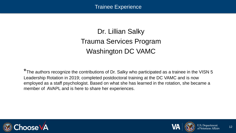Trainee Experience

# Dr. Lillian Salky Trauma Services Program Washington DC VAMC

\*The authors recognize the contributions of Dr. Salky who participated as a trainee in the VISN 5 Leadership Rotation in 2019; completed postdoctoral training at the DC VAMC and is now employed as a staff psychologist. Based on what she has learned in the rotation, she became a member of AVAPL and is here to share her experiences.

![](_page_11_Picture_3.jpeg)

![](_page_11_Picture_4.jpeg)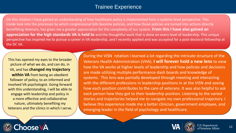# Trainee Experience

On this rotation I have gained an understanding of how healthcare policy is implemented from a systems level perspective. This inside look into the processes by which congressional bills become policies, and how those policies are turned into actions directly benefitting Veterans, has given me a greater appreciation for the complexity of our system. **From this I have also gained an appreciation for the high standards VA is held to** and the thoughtful work that is done on every level of leadership. This unique perspective has inspired me to pursue a career in VA leadership, and I recently applied and was accepted for a post-doctoral fellowship at the DC VA.

This has opened my eyes to the broader picture of what we do, and can do, in VA, and has **changed my trajectory within VA** from being an obedient follower of policy, to an informed and involved VA psychologist. Going forward with this understanding, I will be able to engage with leadership and policy in a more effective and collaborative nature, ultimately benefiting my Veterans and the clinics in which I serve.

emerging leader in the field of psychology and healthcare. During the VISN rotation I learned a lot regarding the intricate structure of the Veterans Health Administration (VHA). **I will forever hold a new lens** to view how the VA works at higher levels of leadership and how policies and decisions are made utilizing multiple performance dash boards and knowledge of systems. This lens was partially developed through meeting and interacting with the different professions in leadership positions in at the VISN and seeing how each position contributes to the care of veterans. It was also helpful to ask each person how they got to their leadership position. Listening to the varied stories and trajectories helped me to navigate my own professional trajectory. I believe this experience made me a better clinician, government employee, and

![](_page_12_Picture_4.jpeg)

![](_page_12_Picture_5.jpeg)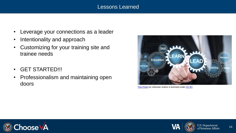## Lessons Learned

- Leverage your connections as a leader
- Intentionality and approach
- Customizing for your training site and trainee needs
- GET STARTED!!!
- Professionalism and maintaining open doors

![](_page_13_Picture_6.jpeg)

[This Photo](http://esheninger.blogspot.com/2018/05/digital-leadership-is-not-optional.html) by Unknown Author is licensed under [CC BY](https://creativecommons.org/licenses/by/3.0/)

![](_page_13_Picture_8.jpeg)

![](_page_13_Picture_9.jpeg)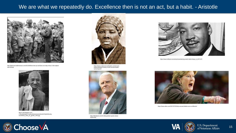## We are what we repeatedly do. Excellence then is not an act, but a habit. - Aristotle

![](_page_14_Picture_1.jpeg)

http://darkroom.baltimoresun.com/2012/06/from-the-sun-archives-on-d-day-minus-1-the-subjectwas-fishing/

![](_page_14_Picture_3.jpeg)

http://1.bp.blogspot.com/ rT3Kx0QsS6g/TyYwdfvo0tI/AAAAAAAADn0/OPQDbPBmWy

![](_page_14_Picture_5.jpeg)

https://www.modernservantleader.com/servantleadership/black-history-month-servant-leaderseries/#post/0

![](_page_14_Picture_7.jpeg)

https://likeateam.com/21-billy-graham-quotes-aboutleadership/

![](_page_14_Picture_9.jpeg)

https://www.huffpost.com/entry/remembering-martin-luther-king-jr\_b\_6471172

![](_page_14_Picture_11.jpeg)

https://www.salon.com/2017/07/22/why-servant-leaders-are-so-effective/

![](_page_14_Picture_13.jpeg)

![](_page_14_Picture_15.jpeg)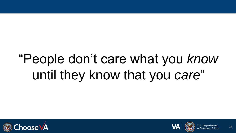# "People don't care what you *know* until they know that you *care*"

![](_page_15_Picture_1.jpeg)

![](_page_15_Picture_2.jpeg)